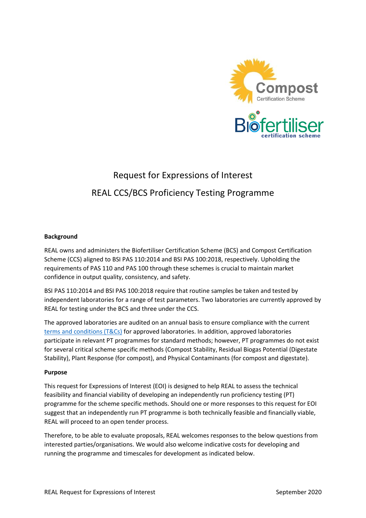

## Request for Expressions of Interest REAL CCS/BCS Proficiency Testing Programme

## **Background**

REAL owns and administers the Biofertiliser Certification Scheme (BCS) and Compost Certification Scheme (CCS) aligned to BSI PAS 110:2014 and BSI PAS 100:2018, respectively. Upholding the requirements of PAS 110 and PAS 100 through these schemes is crucial to maintain market confidence in output quality, consistency, and safety.

BSI PAS 110:2014 and BSI PAS 100:2018 require that routine samples be taken and tested by independent laboratories for a range of test parameters. Two laboratories are currently approved by REAL for testing under the BCS and three under the CCS.

The approved laboratories are audited on an annual basis to ensure compliance with the current [terms and conditions \(T&Cs\)](http://www.qualitycompost.org.uk/upload/terms_and_conditions_for_approved_laboratories_2020_version_4_final_mar20.pdf) for approved laboratories. In addition, approved laboratories participate in relevant PT programmes for standard methods; however, PT programmes do not exist for several critical scheme specific methods (Compost Stability, Residual Biogas Potential (Digestate Stability), Plant Response (for compost), and Physical Contaminants (for compost and digestate).

## **Purpose**

This request for Expressions of Interest (EOI) is designed to help REAL to assess the technical feasibility and financial viability of developing an independently run proficiency testing (PT) programme for the scheme specific methods. Should one or more responses to this request for EOI suggest that an independently run PT programme is both technically feasible and financially viable, REAL will proceed to an open tender process.

Therefore, to be able to evaluate proposals, REAL welcomes responses to the below questions from interested parties/organisations. We would also welcome indicative costs for developing and running the programme and timescales for development as indicated below.